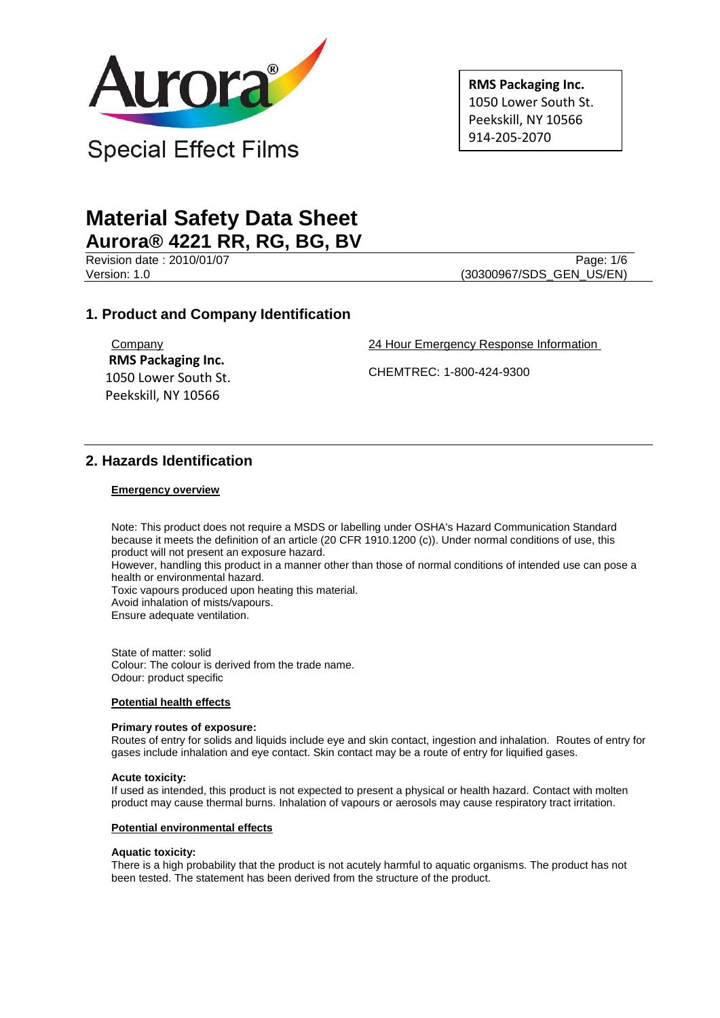

**RMS Packaging Inc.** 1050 Lower South St. Peekskill, NY 10566 914-205-2070

# **Material Safety Data Sheet Aurora® 4221 RR, RG, BG, BV**

Revision date : 2010/01/07 Page: 1/6

Version: 1.0 (30300967/SDS\_GEN\_US/EN)

# **1. Product and Company Identification**

**Company RMS Packaging Inc.** 1050 Lower South St. Peekskill, NY 10566

24 Hour Emergency Response Information

CHEMTREC: 1-800-424-9300

# **2. Hazards Identification**

#### **Emergency overview**

Note: This product does not require a MSDS or labelling under OSHA's Hazard Communication Standard because it meets the definition of an article (20 CFR 1910.1200 (c)). Under normal conditions of use, this product will not present an exposure hazard.

However, handling this product in a manner other than those of normal conditions of intended use can pose a health or environmental hazard.

Toxic vapours produced upon heating this material.

Avoid inhalation of mists/vapours.

Ensure adequate ventilation.

State of matter: solid Colour: The colour is derived from the trade name. Odour: product specific

#### **Potential health effects**

#### **Primary routes of exposure:**

Routes of entry for solids and liquids include eye and skin contact, ingestion and inhalation. Routes of entry for gases include inhalation and eye contact. Skin contact may be a route of entry for liquified gases.

#### **Acute toxicity:**

If used as intended, this product is not expected to present a physical or health hazard. Contact with molten product may cause thermal burns. Inhalation of vapours or aerosols may cause respiratory tract irritation.

#### **Potential environmental effects**

#### **Aquatic toxicity:**

There is a high probability that the product is not acutely harmful to aquatic organisms. The product has not been tested. The statement has been derived from the structure of the product.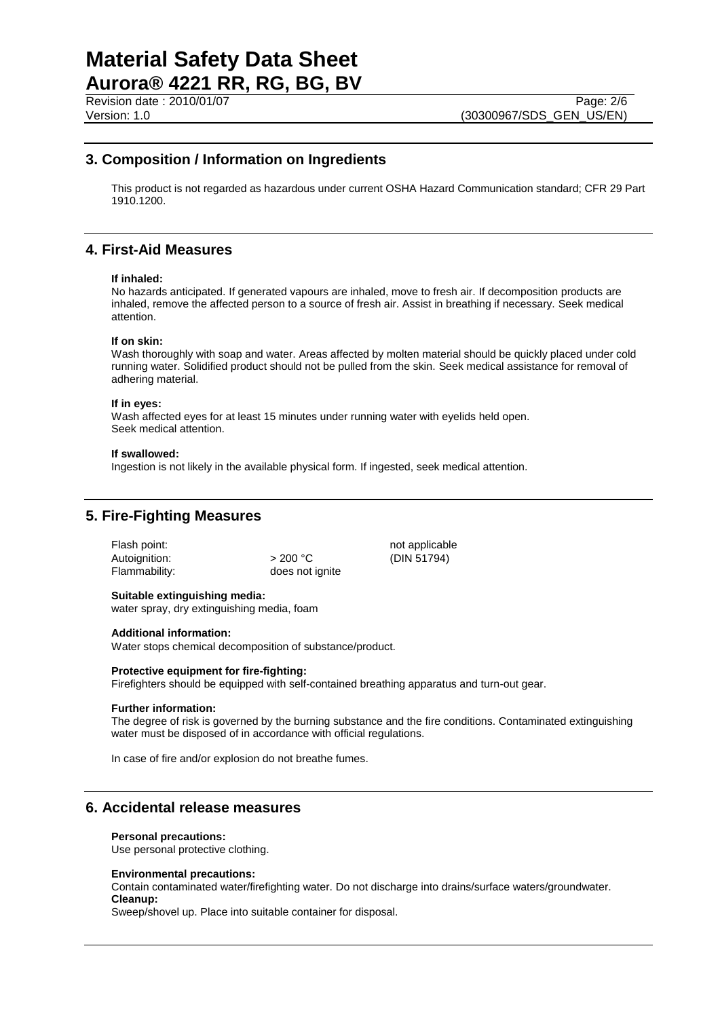# **Material Safety Data Sheet Aurora® 4221 RR, RG, BG, BV**

Revision date : 2010/01/07 Page: 2/6<br>Version: 1.0 (30300967/SDS GEN US/EN)

## **3. Composition / Information on Ingredients**

This product is not regarded as hazardous under current OSHA Hazard Communication standard; CFR 29 Part 1910.1200.

### **4. First-Aid Measures**

#### **If inhaled:**

No hazards anticipated. If generated vapours are inhaled, move to fresh air. If decomposition products are inhaled, remove the affected person to a source of fresh air. Assist in breathing if necessary. Seek medical attention.

#### **If on skin:**

Wash thoroughly with soap and water. Areas affected by molten material should be quickly placed under cold running water. Solidified product should not be pulled from the skin. Seek medical assistance for removal of adhering material.

#### **If in eyes:**

Wash affected eyes for at least 15 minutes under running water with eyelids held open. Seek medical attention.

#### **If swallowed:**

Ingestion is not likely in the available physical form. If ingested, seek medical attention.

## **5. Fire-Fighting Measures**

Flash point: not applicable not applicable Autoignition:  $> 200 °C$  (DIN 51794)<br>Flammability: does not ignite

does not ignite

# **Suitable extinguishing media:**

water spray, dry extinguishing media, foam

#### **Additional information:**

Water stops chemical decomposition of substance/product.

#### **Protective equipment for fire-fighting:**

Firefighters should be equipped with self-contained breathing apparatus and turn-out gear.

#### **Further information:**

The degree of risk is governed by the burning substance and the fire conditions. Contaminated extinguishing water must be disposed of in accordance with official regulations.

In case of fire and/or explosion do not breathe fumes.

### **6. Accidental release measures**

#### **Personal precautions:**

Use personal protective clothing.

#### **Environmental precautions:**

Contain contaminated water/firefighting water. Do not discharge into drains/surface waters/groundwater. **Cleanup:**

Sweep/shovel up. Place into suitable container for disposal.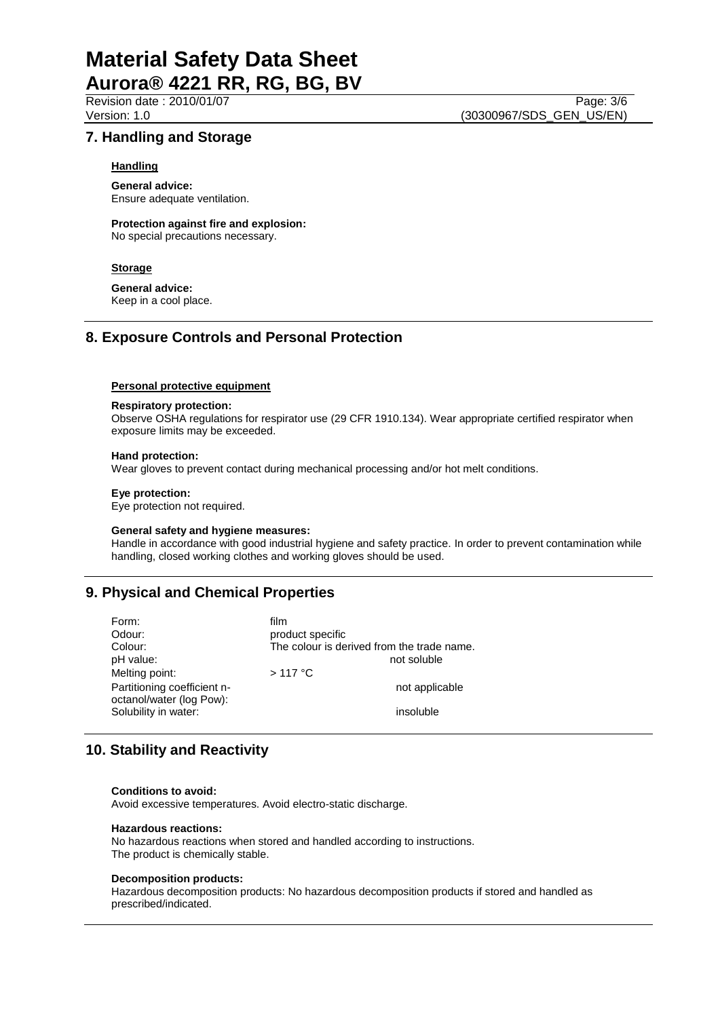# **Material Safety Data Sheet Aurora® 4221 RR, RG, BG, BV**

## **7. Handling and Storage**

#### **Handling**

**General advice:** Ensure adequate ventilation.

**Protection against fire and explosion:** No special precautions necessary.

#### **Storage**

**General advice:**

Keep in a cool place.

## **8. Exposure Controls and Personal Protection**

#### **Personal protective equipment**

#### **Respiratory protection:**

Observe OSHA regulations for respirator use (29 CFR 1910.134). Wear appropriate certified respirator when exposure limits may be exceeded.

#### **Hand protection:**

Wear gloves to prevent contact during mechanical processing and/or hot melt conditions.

#### **Eye protection:**

Eye protection not required.

#### **General safety and hygiene measures:**

Handle in accordance with good industrial hygiene and safety practice. In order to prevent contamination while handling, closed working clothes and working gloves should be used.

## **9. Physical and Chemical Properties**

| Form:                       | film                                       |
|-----------------------------|--------------------------------------------|
| Odour:                      | product specific                           |
| Colour:                     | The colour is derived from the trade name. |
| pH value:                   | not soluble                                |
| Melting point:              | $>117$ °C                                  |
| Partitioning coefficient n- | not applicable                             |
| octanol/water (log Pow):    |                                            |
| Solubility in water:        | insoluble                                  |

# **10. Stability and Reactivity**

#### **Conditions to avoid:**

Avoid excessive temperatures. Avoid electro-static discharge.

#### **Hazardous reactions:**

No hazardous reactions when stored and handled according to instructions. The product is chemically stable.

#### **Decomposition products:**

Hazardous decomposition products: No hazardous decomposition products if stored and handled as prescribed/indicated.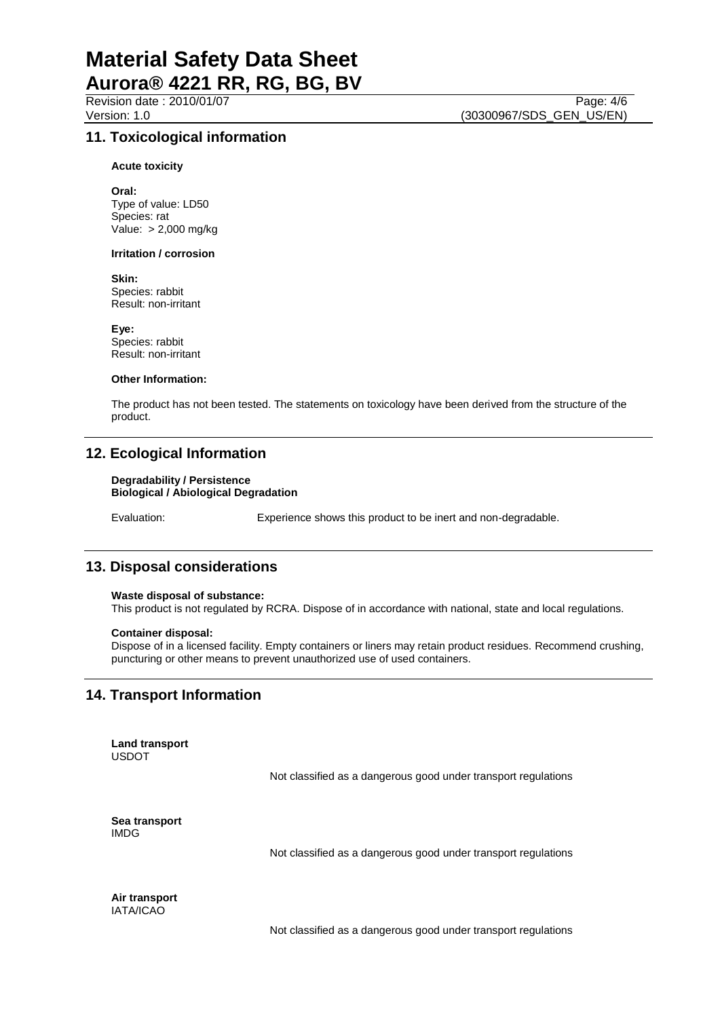Revision date : 2010/01/07 Page: 4/6<br>Version: 1.0 (30300967/SDS GEN US/EN)

## **11. Toxicological information**

**Acute toxicity**

**Oral:** Type of value: LD50 Species: rat Value: > 2,000 mg/kg

#### **Irritation / corrosion**

**Skin:**

Species: rabbit Result: non-irritant

**Eye:** Species: rabbit Result: non-irritant

#### **Other Information:**

The product has not been tested. The statements on toxicology have been derived from the structure of the product.

### **12. Ecological Information**

#### **Degradability / Persistence Biological / Abiological Degradation**

Evaluation: Experience shows this product to be inert and non-degradable.

### **13. Disposal considerations**

#### **Waste disposal of substance:**

This product is not regulated by RCRA. Dispose of in accordance with national, state and local regulations.

#### **Container disposal:**

Dispose of in a licensed facility. Empty containers or liners may retain product residues. Recommend crushing, puncturing or other means to prevent unauthorized use of used containers.

## **14. Transport Information**

**Land transport** USDOT

Not classified as a dangerous good under transport regulations

**Sea transport** IMDG

Not classified as a dangerous good under transport regulations

**Air transport** IATA/ICAO

Not classified as a dangerous good under transport regulations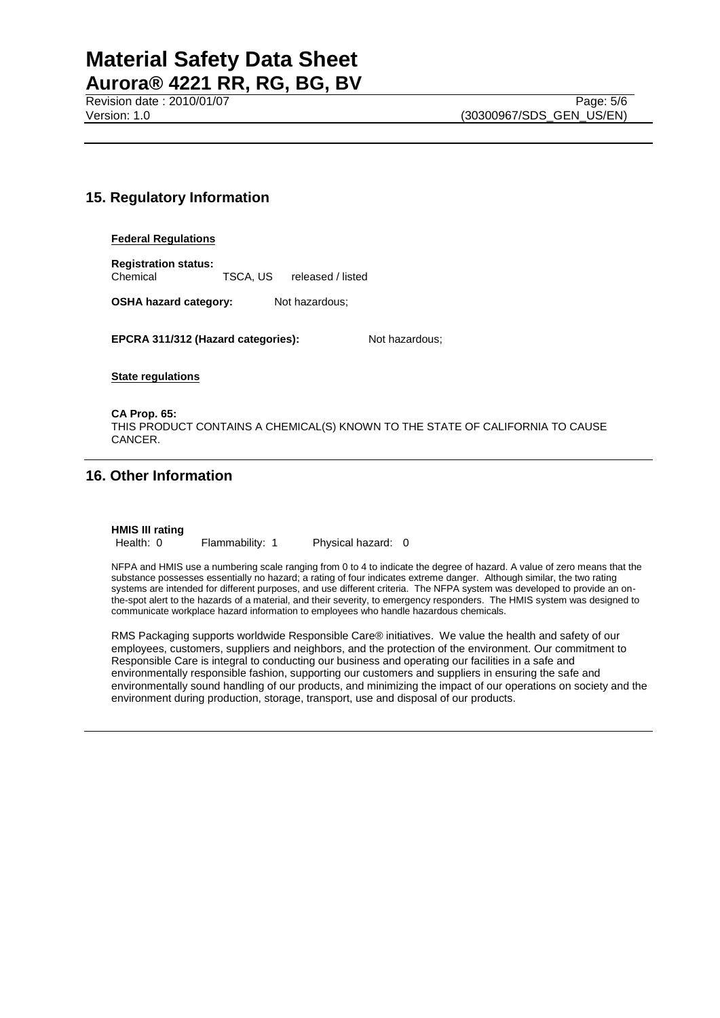# **Material Safety Data Sheet Aurora® 4221 RR, RG, BG, BV**

Revision date : 2010/01/07 Page: 5/6<br>
Version: 1.0 (30300967/SDS GEN US/EN)

# **15. Regulatory Information**

#### **Federal Regulations**

**Registration status:** Chemical TSCA, US released / listed

**OSHA hazard category:** Not hazardous;

**EPCRA 311/312 (Hazard categories):** Not hazardous;

**State regulations**

**CA Prop. 65:** THIS PRODUCT CONTAINS A CHEMICAL(S) KNOWN TO THE STATE OF CALIFORNIA TO CAUSE CANCER.

# **16. Other Information**

**HMIS III rating**

Health: 0 Flammability: 1 Physical hazard: 0

NFPA and HMIS use a numbering scale ranging from 0 to 4 to indicate the degree of hazard. A value of zero means that the substance possesses essentially no hazard; a rating of four indicates extreme danger. Although similar, the two rating systems are intended for different purposes, and use different criteria. The NFPA system was developed to provide an onthe-spot alert to the hazards of a material, and their severity, to emergency responders. The HMIS system was designed to communicate workplace hazard information to employees who handle hazardous chemicals.

RMS Packaging supports worldwide Responsible Care® initiatives. We value the health and safety of our employees, customers, suppliers and neighbors, and the protection of the environment. Our commitment to Responsible Care is integral to conducting our business and operating our facilities in a safe and environmentally responsible fashion, supporting our customers and suppliers in ensuring the safe and environmentally sound handling of our products, and minimizing the impact of our operations on society and the environment during production, storage, transport, use and disposal of our products.